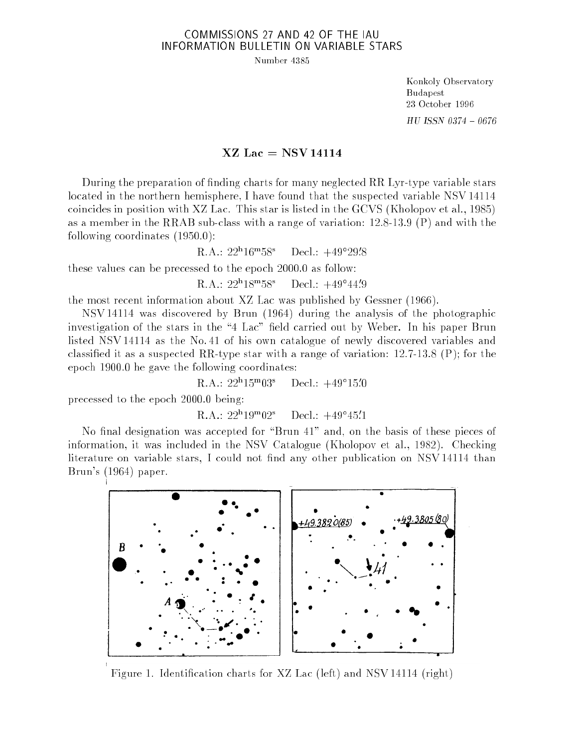## COMMISSIONS 27 AND 42 OF THE IAU INFORMATION BULLETIN ON VARIABLE STARS

Number 4385

Konkoly Observatory Budapest 23 October 1996  $HU$  ISSN 0374 - 0676

## $XZ$  Lac = NSV 14114

During the preparation of nding charts for many neglected RR Lyr-type variable stars located in the northern hemisphere, I have found that the suspected variable NSV 14114 coincides in position with XZ Lac. This star is listed in the GCVS (Kholopov et al., 1985) as a member in the RRAB sub-class with a range of variation: 12.8-13.9 (P) and with the following coordinates (1950.0):

> $\Gamma\Lambda$ .: 22-10-30. Decl.: +49 75.9

these values can be precessed to the epoch 2000.0 as follow:

R.A.: 22"18"58" Decl.: +49 44.9

the most recent information about XZ Lac was published by Gessner (1966).

NSV 14114 was discovered by Brun (1964) during the analysis of the photographic investigation of the stars in the "4 Lac" field carried out by Weber. In his paper Brun listed NSV 14114 as the No. 41 of his own catalogue of newly discovered variables and classified it as a suspected RR-type star with a range of variation:  $12.7-13.8$  (P); for the epoch 1900.0 he gave the following coordinates:

> R.A.: 22"15"U5" Decl.: +49 19.0

precessed to the epoch 2000.0 being:

R.A.: 22h 19m 02° Decl.: +49°40.1

No final designation was accepted for "Brun 41" and, on the basis of these pieces of information, it was included in the NSV Catalogue (Kholopov et al., 1982). Checking literature on variable stars, I could not find any other publication on NSV 14114 than Brun's (1964) paper.



Figure 1. Identication charts for XZ Lac (left) and NSV 14114 (right)